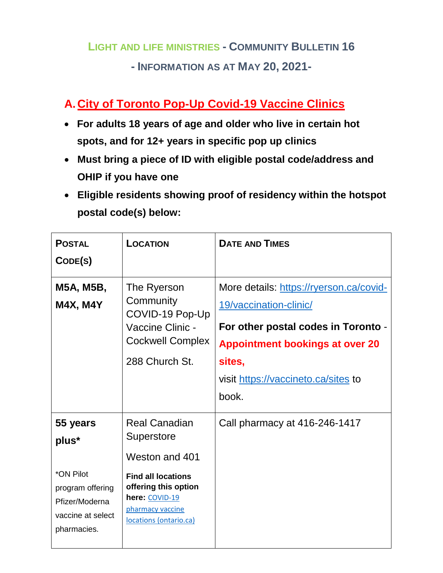# **LIGHT AND LIFE MINISTRIES - COMMUNITY BULLETIN 16 - INFORMATION AS AT MAY 20, 2021-**

## **A.City of Toronto Pop-Up Covid-19 Vaccine Clinics**

- **For adults 18 years of age and older who live in certain hot spots, and for 12+ years in specific pop up clinics**
- **Must bring a piece of ID with eligible postal code/address and OHIP if you have one**
- **Eligible residents showing proof of residency within the hotspot postal code(s) below:**

| <b>POSTAL</b><br>CODE(S)                                                                                 | LOCATION                                                                                                                                                                  | <b>DATE AND TIMES</b>                                                                                                                                                                                        |
|----------------------------------------------------------------------------------------------------------|---------------------------------------------------------------------------------------------------------------------------------------------------------------------------|--------------------------------------------------------------------------------------------------------------------------------------------------------------------------------------------------------------|
| M5A, M5B,<br><b>M4X, M4Y</b>                                                                             | The Ryerson<br>Community<br>COVID-19 Pop-Up<br>Vaccine Clinic -<br><b>Cockwell Complex</b><br>288 Church St.                                                              | More details: https://ryerson.ca/covid-<br>19/vaccination-clinic/<br>For other postal codes in Toronto -<br><b>Appointment bookings at over 20</b><br>sites,<br>visit https://vaccineto.ca/sites to<br>book. |
| 55 years<br>plus*<br>*ON Pilot<br>program offering<br>Pfizer/Moderna<br>vaccine at select<br>pharmacies. | <b>Real Canadian</b><br>Superstore<br>Weston and 401<br><b>Find all locations</b><br>offering this option<br>here: COVID-19<br>pharmacy vaccine<br>locations (ontario.ca) | Call pharmacy at 416-246-1417                                                                                                                                                                                |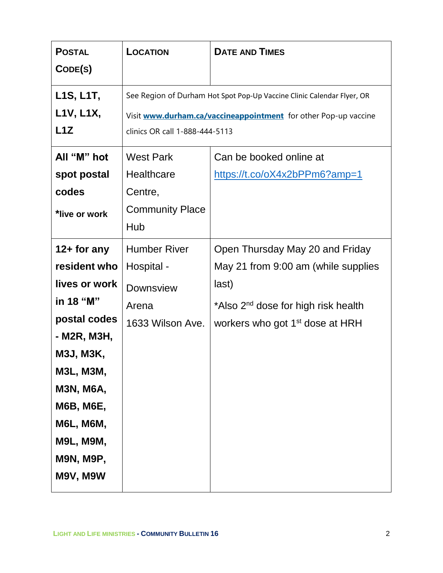| <b>POSTAL</b><br>CODE(S)                                                                                                                                                                                                                           | LOCATION                                                                           | <b>DATE AND TIMES</b>                                                                                                                                                             |
|----------------------------------------------------------------------------------------------------------------------------------------------------------------------------------------------------------------------------------------------------|------------------------------------------------------------------------------------|-----------------------------------------------------------------------------------------------------------------------------------------------------------------------------------|
| L1S, L1T,<br>L <sub>1</sub> V, L <sub>1</sub> X,<br>L1Z                                                                                                                                                                                            | clinics OR call 1-888-444-5113                                                     | See Region of Durham Hot Spot Pop-Up Vaccine Clinic Calendar Flyer, OR<br>Visit www.durham.ca/vaccineappointment for other Pop-up vaccine                                         |
| All "M" hot<br>spot postal<br>codes<br>*live or work                                                                                                                                                                                               | <b>West Park</b><br>Healthcare<br>Centre,<br><b>Community Place</b><br>Hub         | Can be booked online at<br>https://t.co/oX4x2bPPm6?amp=1                                                                                                                          |
| $12+$ for any<br>resident who<br>lives or work<br>in 18 "M"<br>postal codes<br>- M2R, M3H,<br><b>M3J, M3K,</b><br><b>M3L, M3M,</b><br><b>M3N, M6A,</b><br><b>M6B, M6E,</b><br><b>M6L, M6M,</b><br><b>M9L, M9M,</b><br><b>M9N, M9P,</b><br>M9V, M9W | <b>Humber River</b><br>Hospital -<br><b>Downsview</b><br>Arena<br>1633 Wilson Ave. | Open Thursday May 20 and Friday<br>May 21 from 9:00 am (while supplies<br>last)<br>*Also 2 <sup>nd</sup> dose for high risk health<br>workers who got 1 <sup>st</sup> dose at HRH |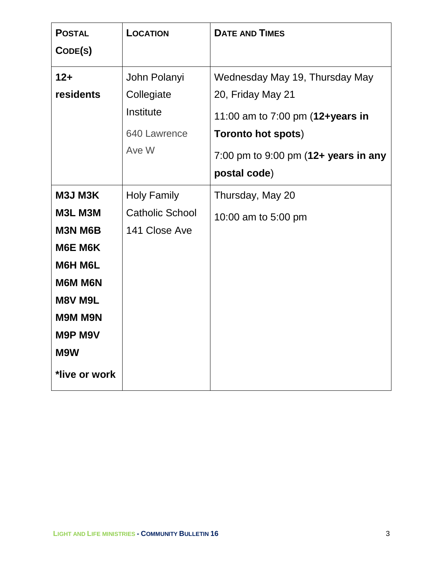| <b>POSTAL</b><br>CODE(S) | <b>LOCATION</b>        | <b>DATE AND TIMES</b>                    |
|--------------------------|------------------------|------------------------------------------|
|                          |                        |                                          |
| $12+$                    | John Polanyi           | Wednesday May 19, Thursday May           |
| residents                | Collegiate             | 20, Friday May 21                        |
|                          | Institute              | 11:00 am to 7:00 pm (12+years in         |
|                          | 640 Lawrence           | <b>Toronto hot spots)</b>                |
|                          | Ave W                  | 7:00 pm to 9:00 pm $(12 + years)$ in any |
|                          |                        | postal code)                             |
| M3J M3K                  | <b>Holy Family</b>     | Thursday, May 20                         |
| M3L M3M                  | <b>Catholic School</b> | 10:00 am to 5:00 pm                      |
| M3N M6B                  | 141 Close Ave          |                                          |
| <b>M6E M6K</b>           |                        |                                          |
| M6H M6L                  |                        |                                          |
| <b>M6M M6N</b>           |                        |                                          |
| <b>M8V M9L</b>           |                        |                                          |
| <b>M9M M9N</b>           |                        |                                          |
| M9P M9V                  |                        |                                          |
| M9W                      |                        |                                          |
| *live or work            |                        |                                          |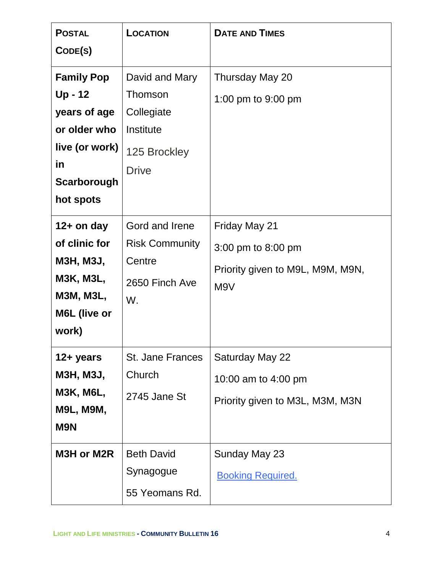| <b>POSTAL</b><br>CODE(S)                                                                                           | <b>LOCATION</b>                                                                      | <b>DATE AND TIMES</b>                                                                       |
|--------------------------------------------------------------------------------------------------------------------|--------------------------------------------------------------------------------------|---------------------------------------------------------------------------------------------|
| <b>Family Pop</b><br>Up - 12<br>years of age<br>or older who<br>live (or work)<br>in<br>Scarborough<br>hot spots   | David and Mary<br>Thomson<br>Collegiate<br>Institute<br>125 Brockley<br><b>Drive</b> | Thursday May 20<br>1:00 pm to 9:00 pm                                                       |
| $12+$ on day<br>of clinic for<br><b>M3H, M3J,</b><br><b>M3K, M3L,</b><br><b>M3M, M3L,</b><br>M6L (live or<br>work) | Gord and Irene<br><b>Risk Community</b><br>Centre<br>2650 Finch Ave<br>W.            | Friday May 21<br>3:00 pm to 8:00 pm<br>Priority given to M9L, M9M, M9N,<br>M <sub>9</sub> V |
| 12+ years<br><b>M3H, M3J,</b><br><b>M3K, M6L,</b><br><b>M9L, M9M,</b><br><b>M9N</b>                                | <b>St. Jane Frances</b><br>Church<br>2745 Jane St                                    | Saturday May 22<br>10:00 am to 4:00 pm<br>Priority given to M3L, M3M, M3N                   |
| M3H or M2R                                                                                                         | <b>Beth David</b><br>Synagogue<br>55 Yeomans Rd.                                     | Sunday May 23<br><b>Booking Required.</b>                                                   |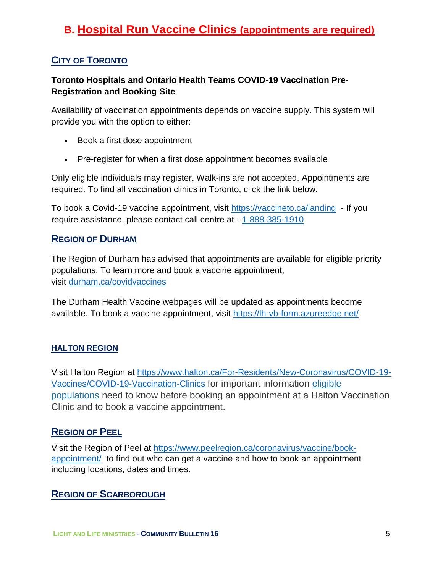## **B. Hospital Run Vaccine Clinics (appointments are required)**

#### **CITY OF TORONTO**

#### **Toronto Hospitals and Ontario Health Teams COVID-19 Vaccination Pre-Registration and Booking Site**

Availability of vaccination appointments depends on vaccine supply. This system will provide you with the option to either:

- Book a first dose appointment
- Pre-register for when a first dose appointment becomes available

Only eligible individuals may register. Walk-ins are not accepted. Appointments are required. To find all vaccination clinics in Toronto, click the link below.

To book a Covid-19 vaccine appointment, visit<https://vaccineto.ca/landing> - If you require assistance, please contact call centre at - [1-888-385-1910](tel:1-888-385-1910)

#### **REGION OF DURHAM**

The Region of Durham has advised that appointments are available for eligible priority populations. To learn more and book a vaccine appointment, visit [durham.ca/covidvaccines](http://www.durham.ca/covidvaccines)

The Durham Health Vaccine webpages will be updated as appointments become available. To book a vaccine appointment, visit<https://lh-vb-form.azureedge.net/>

#### **HALTON REGION**

Visit Halton Region at [https://www.halton.ca/For-Residents/New-Coronavirus/COVID-19-](https://www.halton.ca/For-Residents/New-Coronavirus/COVID-19-Vaccines/COVID-19-Vaccination-Clinics) [Vaccines/COVID-19-Vaccination-Clinics](https://www.halton.ca/For-Residents/New-Coronavirus/COVID-19-Vaccines/COVID-19-Vaccination-Clinics) for important information [eligible](https://www.halton.ca/For-Residents/Immunizations-Preventable-Disease/Diseases-Infections/New-Coronavirus/COVID-19-Vaccines/Who-is-currently-eligible-in-Halton#03)  [populations](https://www.halton.ca/For-Residents/Immunizations-Preventable-Disease/Diseases-Infections/New-Coronavirus/COVID-19-Vaccines/Who-is-currently-eligible-in-Halton#03) need to know before booking an appointment at a Halton Vaccination Clinic and to book a vaccine appointment.

#### **REGION OF PEEL**

Visit the Region of Peel at [https://www.peelregion.ca/coronavirus/vaccine/book](https://www.peelregion.ca/coronavirus/vaccine/book-appointment/)[appointment/](https://www.peelregion.ca/coronavirus/vaccine/book-appointment/) to find out who can get a vaccine and how to book an appointment including locations, dates and times.

#### **REGION OF SCARBOROUGH**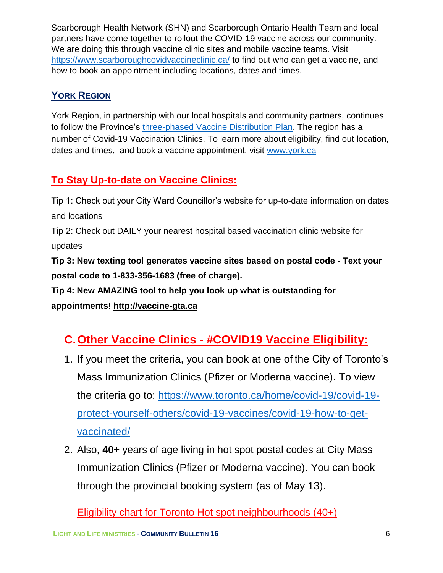Scarborough Health Network (SHN) and Scarborough Ontario Health Team and local partners have come together to rollout the COVID-19 vaccine across our community. We are doing this through vaccine clinic sites and mobile vaccine teams. Visit <https://www.scarboroughcovidvaccineclinic.ca/> to find out who can get a vaccine, and how to book an appointment including locations, dates and times.

#### **YORK REGION**

York Region, in partnership with our local hospitals and community partners, continues to follow the Province's [three-phased Vaccine Distribution Plan.](https://files.ontario.ca/moh-covid-19-vaccine-distribution-plan-en-2021-02-19.pdf) The region has a number of Covid-19 Vaccination Clinics. To learn more about eligibility, find out location, dates and times, and book a vaccine appointment, visit [www.york.ca](http://www.york.ca/)

### **To Stay Up-to-date on Vaccine Clinics:**

Tip 1: Check out your City Ward Councillor's website for up-to-date information on dates and locations

Tip 2: Check out DAILY your nearest hospital based vaccination clinic website for updates

**Tip 3: New texting tool generates vaccine sites based on postal code - Text your postal code to 1-833-356-1683 (free of charge).**

**Tip 4: New AMAZING tool to help you look up what is outstanding for appointments! [http://vaccine-gta.ca](https://t.co/euzK4YA9hP?amp=1)**

## **C.Other Vaccine Clinics - #COVID19 Vaccine Eligibility:**

- 1. If you meet the criteria, you can book at one of the City of Toronto's Mass Immunization Clinics (Pfizer or Moderna vaccine). To view the criteria go to: [https://www.toronto.ca/home/covid-19/covid-19](https://www.toronto.ca/home/covid-19/covid-19-protect-yourself-others/covid-19-vaccines/covid-19-how-to-get-vaccinated/) [protect-yourself-others/covid-19-vaccines/covid-19-how-to-get](https://www.toronto.ca/home/covid-19/covid-19-protect-yourself-others/covid-19-vaccines/covid-19-how-to-get-vaccinated/)[vaccinated/](https://www.toronto.ca/home/covid-19/covid-19-protect-yourself-others/covid-19-vaccines/covid-19-how-to-get-vaccinated/)
- 2. Also, **40+** years of age living in hot spot postal codes at City Mass Immunization Clinics (Pfizer or Moderna vaccine). You can book through the provincial booking system (as of May 13).

Eligibility chart for Toronto Hot spot neighbourhoods (40+)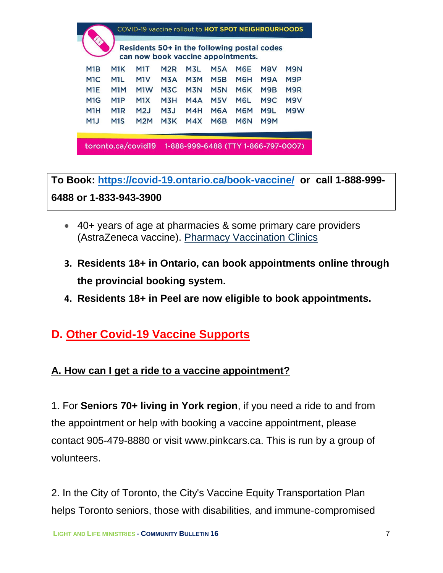|                  |                  |                  |     |            | Residents 50+ in the following postal codes |                  |                                    |
|------------------|------------------|------------------|-----|------------|---------------------------------------------|------------------|------------------------------------|
| M <sub>1</sub> K | M1T              | M <sub>2</sub> R | M3L | <b>M5A</b> | M6E                                         | M8V              | <b>M9N</b>                         |
| M1L.             | M <sub>1</sub> V | M3A              | M3M | M5B        | M6H                                         | M <sub>9</sub> A | M9P                                |
| M <sub>1</sub> M | M <sub>1</sub> W | M3C              | M3N | M5N        | M6K                                         | M9B              | M9R                                |
| M <sub>1</sub> P | M1X              | M <sub>3</sub> H | M4A | M5V        | M6L                                         | M <sub>9</sub> C | M9V                                |
| M1R              | M2J              | M <sub>3J</sub>  | M4H | M6A        | <b>M6M</b>                                  | M9L              | M9W                                |
| M <sub>1</sub> S | M <sub>2</sub> M | M3K              | M4X | <b>M6B</b> | M <sub>6</sub> N                            | M9M              |                                    |
|                  |                  |                  |     |            |                                             |                  | can now book vaccine appointments. |

**To Book:<https://covid-19.ontario.ca/book-vaccine/>or call 1-888-999- 6488 or 1-833-943-3900**

- 40+ years of age at pharmacies & some primary care providers (AstraZeneca vaccine). Pharmacy [Vaccination](https://covid-19.ontario.ca/vaccine-locations) Clinics
- **3. Residents 18+ in Ontario, can book appointments online through the provincial booking system.**
- **4. Residents 18+ in Peel are now eligible to book appointments.**

## **D. Other Covid-19 Vaccine Supports**

### **A. How can I get a ride to a vaccine appointment?**

1. For **Seniors 70+ living in York region**, if you need a ride to and from the appointment or help with booking a vaccine appointment, please contact 905-479-8880 or visit [www.pinkcars.ca.](http://www.pinkcars.ca/) This is run by a group of volunteers.

2. In the City of Toronto, the City's Vaccine Equity Transportation Plan helps Toronto seniors, those with disabilities, and immune-compromised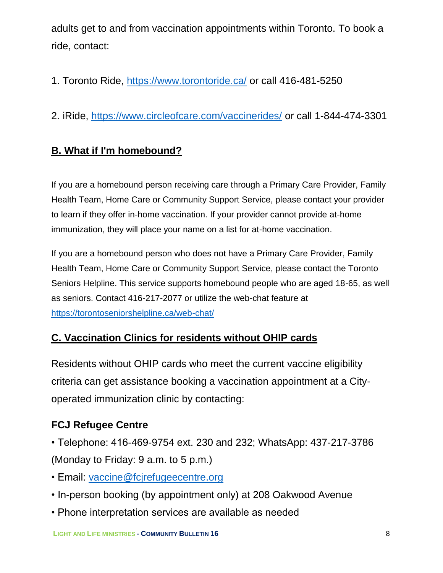adults get to and from vaccination appointments within Toronto. To book a ride, contact:

1. Toronto Ride, [https://www.torontoride.ca/](https://anthonyperruzza.us2.list-manage.com/track/click?u=dc2624c0d4a736d1d94d13a17&id=c50a6fa94e&e=39fd6a65b8) or call 416-481-5250

2. iRide, [https://www.circleofcare.com/vaccinerides/](https://anthonyperruzza.us2.list-manage.com/track/click?u=dc2624c0d4a736d1d94d13a17&id=6a206e787c&e=39fd6a65b8) or call 1-844-474-3301

### **B. What if I'm homebound?**

If you are a homebound person receiving care through a Primary Care Provider, Family Health Team, Home Care or Community Support Service, please contact your provider to learn if they offer in-home vaccination. If your provider cannot provide at-home immunization, they will place your name on a list for at-home vaccination.

If you are a homebound person who does not have a Primary Care Provider, Family Health Team, Home Care or Community Support Service, please contact the Toronto Seniors Helpline. This service supports homebound people who are aged 18-65, as well as seniors. Contact 416-217-2077 or utilize the web-chat feature at <https://torontoseniorshelpline.ca/web-chat/>

### **C. Vaccination Clinics for residents without OHIP cards**

Residents without OHIP cards who meet the current vaccine eligibility criteria can get assistance booking a vaccination appointment at a Cityoperated immunization clinic by contacting:

### **FCJ Refugee Centre**

- Telephone: 416-469-9754 ext. 230 and 232; WhatsApp: 437-217-3786 (Monday to Friday: 9 a.m. to 5 p.m.)
- Email: [vaccine@fcjrefugeecentre.org](mailto:vaccine@fcjrefugeecentre.org)
- In-person booking (by appointment only) at 208 Oakwood Avenue
- Phone interpretation services are available as needed